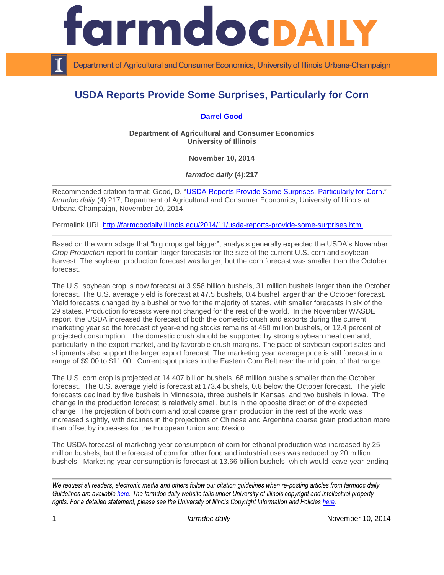

Department of Agricultural and Consumer Economics, University of Illinois Urbana-Champaign

## **USDA Reports Provide Some Surprises, Particularly for Corn**

## **[Darrel Good](http://farmdoc.illinois.edu/good/)**

**Department of Agricultural and Consumer Economics University of Illinois**

**November 10, 2014**

*farmdoc daily* **(4):217**

Recommended citation format: Good, D. ["USDA Reports Provide Some Surprises, Particularly for](http://farmdocdaily.illinois.edu/2014/11/usda-reports-provide-some-surprises.html) Corn." *farmdoc daily* (4):217, Department of Agricultural and Consumer Economics, University of Illinois at Urbana-Champaign, November 10, 2014.

Permalink URL<http://farmdocdaily.illinois.edu/2014/11/usda-reports-provide-some-surprises.html>

Based on the worn adage that "big crops get bigger", analysts generally expected the USDA's November *Crop Production* report to contain larger forecasts for the size of the current U.S. corn and soybean harvest. The soybean production forecast was larger, but the corn forecast was smaller than the October forecast.

The U.S. soybean crop is now forecast at 3.958 billion bushels, 31 million bushels larger than the October forecast. The U.S. average yield is forecast at 47.5 bushels, 0.4 bushel larger than the October forecast. Yield forecasts changed by a bushel or two for the majority of states, with smaller forecasts in six of the 29 states. Production forecasts were not changed for the rest of the world. In the November WASDE report, the USDA increased the forecast of both the domestic crush and exports during the current marketing year so the forecast of year-ending stocks remains at 450 million bushels, or 12.4 percent of projected consumption. The domestic crush should be supported by strong soybean meal demand, particularly in the export market, and by favorable crush margins. The pace of soybean export sales and shipments also support the larger export forecast. The marketing year average price is still forecast in a range of \$9.00 to \$11.00. Current spot prices in the Eastern Corn Belt near the mid point of that range.

The U.S. corn crop is projected at 14.407 billion bushels, 68 million bushels smaller than the October forecast. The U.S. average yield is forecast at 173.4 bushels, 0.8 below the October forecast. The yield forecasts declined by five bushels in Minnesota, three bushels in Kansas, and two bushels in Iowa. The change in the production forecast is relatively small, but is in the opposite direction of the expected change. The projection of both corn and total coarse grain production in the rest of the world was increased slightly, with declines in the projections of Chinese and Argentina coarse grain production more than offset by increases for the European Union and Mexico.

The USDA forecast of marketing year consumption of corn for ethanol production was increased by 25 million bushels, but the forecast of corn for other food and industrial uses was reduced by 20 million bushels. Marketing year consumption is forecast at 13.66 billion bushels, which would leave year-ending

*We request all readers, electronic media and others follow our citation guidelines when re-posting articles from farmdoc daily. Guidelines are available [here.](http://farmdocdaily.illinois.edu/citationguide.html) The farmdoc daily website falls under University of Illinois copyright and intellectual property rights. For a detailed statement, please see the University of Illinois Copyright Information and Policies [here.](http://www.cio.illinois.edu/policies/copyright/)*